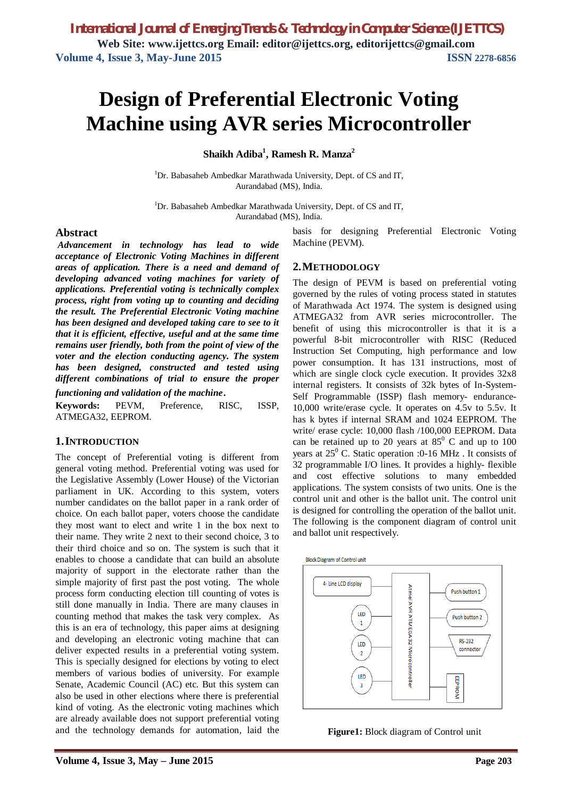# **Design of Preferential Electronic Voting Machine using AVR series Microcontroller**

**Shaikh Adiba<sup>1</sup> , Ramesh R. Manza<sup>2</sup>**

 $1$ Dr. Babasaheb Ambedkar Marathwada University, Dept. of CS and IT, Aurandabad (MS), India.

 $1$ Dr. Babasaheb Ambedkar Marathwada University, Dept. of CS and IT, Aurandabad (MS), India.

## **Abstract**

*Advancement in technology has lead to wide acceptance of Electronic Voting Machines in different areas of application. There is a need and demand of developing advanced voting machines for variety of applications. Preferential voting is technically complex process, right from voting up to counting and deciding the result. The Preferential Electronic Voting machine has been designed and developed taking care to see to it that it is efficient, effective, useful and at the same time remains user friendly, both from the point of view of the voter and the election conducting agency. The system has been designed, constructed and tested using different combinations of trial to ensure the proper* 

*functioning and validation of the machine*.

**Keywords:** PEVM, Preference, RISC, ISSP, ATMEGA32, EEPROM.

## **1.INTRODUCTION**

The concept of Preferential voting is different from general voting method. Preferential voting was used for the Legislative Assembly (Lower House) of the Victorian parliament in UK. According to this system, voters number candidates on the ballot paper in a rank order of choice. On each ballot paper, voters choose the candidate they most want to elect and write 1 in the box next to their name. They write 2 next to their second choice, 3 to their third choice and so on. The system is such that it enables to choose a candidate that can build an absolute majority of support in the electorate rather than the simple majority of first past the post voting. The whole process form conducting election till counting of votes is still done manually in India. There are many clauses in counting method that makes the task very complex. As this is an era of technology, this paper aims at designing and developing an electronic voting machine that can deliver expected results in a preferential voting system. This is specially designed for elections by voting to elect members of various bodies of university. For example Senate, Academic Council (AC) etc. But this system can also be used in other elections where there is preferential kind of voting. As the electronic voting machines which are already available does not support preferential voting and the technology demands for automation, laid the basis for designing Preferential Electronic Voting Machine (PEVM).

#### **2.METHODOLOGY**

The design of PEVM is based on preferential voting governed by the rules of voting process stated in statutes of Marathwada Act 1974. The system is designed using ATMEGA32 from AVR series microcontroller. The benefit of using this microcontroller is that it is a powerful 8-bit microcontroller with RISC (Reduced Instruction Set Computing, high performance and low power consumption. It has 131 instructions, most of which are single clock cycle execution. It provides 32x8 internal registers. It consists of 32k bytes of In-System-Self Programmable (ISSP) flash memory- endurance-10,000 write/erase cycle. It operates on 4.5v to 5.5v. It has k bytes if internal SRAM and 1024 EEPROM. The write/ erase cycle: 10,000 flash /100,000 EEPROM. Data can be retained up to 20 years at  $85^{\circ}$  C and up to 100 years at  $25^{\circ}$  C. Static operation :0-16 MHz. It consists of 32 programmable I/O lines. It provides a highly- flexible and cost effective solutions to many embedded applications. The system consists of two units. One is the control unit and other is the ballot unit. The control unit is designed for controlling the operation of the ballot unit. The following is the component diagram of control unit and ballot unit respectively.



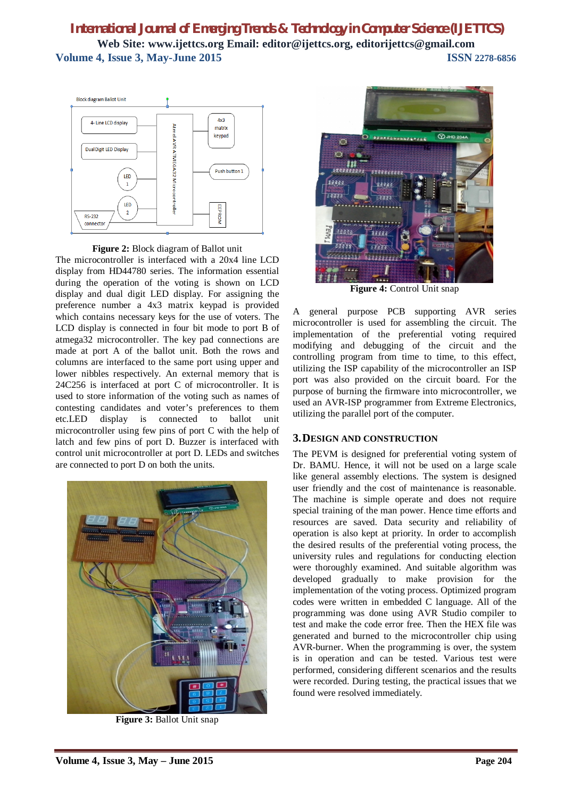## *International Journal of Emerging Trends & Technology in Computer Science (IJETTCS)* **Web Site: www.ijettcs.org Email: editor@ijettcs.org, editorijettcs@gmail.com Volume 4, Issue 3, May-June 2015 ISSN** 2278-6856



**Figure 2:** Block diagram of Ballot unit

The microcontroller is interfaced with a 20x4 line LCD display from HD44780 series. The information essential during the operation of the voting is shown on LCD display and dual digit LED display. For assigning the preference number a 4x3 matrix keypad is provided which contains necessary keys for the use of voters. The LCD display is connected in four bit mode to port B of atmega32 microcontroller. The key pad connections are made at port A of the ballot unit. Both the rows and columns are interfaced to the same port using upper and lower nibbles respectively. An external memory that is 24C256 is interfaced at port C of microcontroller. It is used to store information of the voting such as names of contesting candidates and voter's preferences to them etc.LED display is connected to ballot unit microcontroller using few pins of port C with the help of latch and few pins of port D. Buzzer is interfaced with control unit microcontroller at port D. LEDs and switches are connected to port D on both the units.



**Figure 3:** Ballot Unit snap



**Figure 4:** Control Unit snap

A general purpose PCB supporting AVR series microcontroller is used for assembling the circuit. The implementation of the preferential voting required modifying and debugging of the circuit and the controlling program from time to time, to this effect, utilizing the ISP capability of the microcontroller an ISP port was also provided on the circuit board. For the purpose of burning the firmware into microcontroller, we used an AVR-ISP programmer from Extreme Electronics, utilizing the parallel port of the computer.

## **3.DESIGN AND CONSTRUCTION**

The PEVM is designed for preferential voting system of Dr. BAMU. Hence, it will not be used on a large scale like general assembly elections. The system is designed user friendly and the cost of maintenance is reasonable. The machine is simple operate and does not require special training of the man power. Hence time efforts and resources are saved. Data security and reliability of operation is also kept at priority. In order to accomplish the desired results of the preferential voting process, the university rules and regulations for conducting election were thoroughly examined. And suitable algorithm was developed gradually to make provision for the implementation of the voting process. Optimized program codes were written in embedded C language. All of the programming was done using AVR Studio compiler to test and make the code error free. Then the HEX file was generated and burned to the microcontroller chip using AVR-burner. When the programming is over, the system is in operation and can be tested. Various test were performed, considering different scenarios and the results were recorded. During testing, the practical issues that we found were resolved immediately.